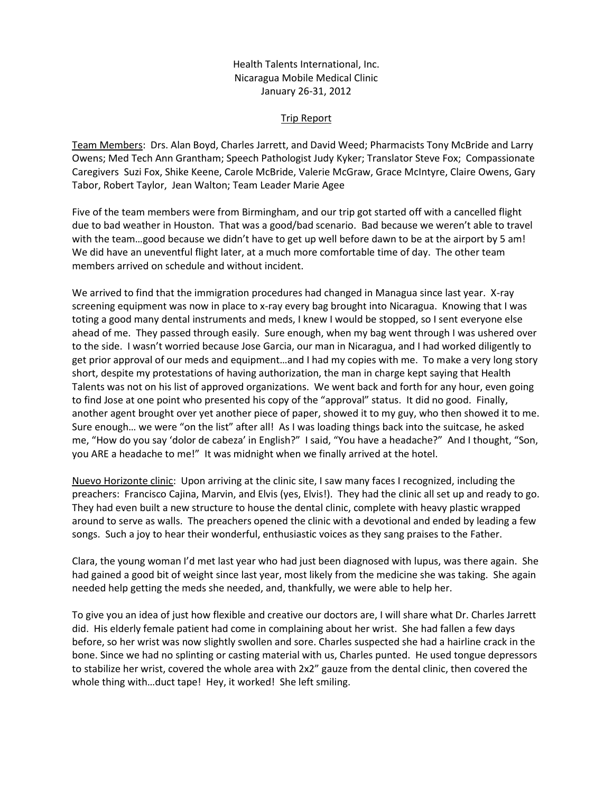## Health Talents International, Inc. Nicaragua Mobile Medical Clinic January 26-31, 2012

## Trip Report

Team Members: Drs. Alan Boyd, Charles Jarrett, and David Weed; Pharmacists Tony McBride and Larry Owens; Med Tech Ann Grantham; Speech Pathologist Judy Kyker; Translator Steve Fox; Compassionate Caregivers Suzi Fox, Shike Keene, Carole McBride, Valerie McGraw, Grace McIntyre, Claire Owens, Gary Tabor, Robert Taylor, Jean Walton; Team Leader Marie Agee

Five of the team members were from Birmingham, and our trip got started off with a cancelled flight due to bad weather in Houston. That was a good/bad scenario. Bad because we weren't able to travel with the team…good because we didn't have to get up well before dawn to be at the airport by 5 am! We did have an uneventful flight later, at a much more comfortable time of day. The other team members arrived on schedule and without incident.

We arrived to find that the immigration procedures had changed in Managua since last year. X-ray screening equipment was now in place to x-ray every bag brought into Nicaragua. Knowing that I was toting a good many dental instruments and meds, I knew I would be stopped, so I sent everyone else ahead of me. They passed through easily. Sure enough, when my bag went through I was ushered over to the side. I wasn't worried because Jose Garcia, our man in Nicaragua, and I had worked diligently to get prior approval of our meds and equipment…and I had my copies with me. To make a very long story short, despite my protestations of having authorization, the man in charge kept saying that Health Talents was not on his list of approved organizations. We went back and forth for any hour, even going to find Jose at one point who presented his copy of the "approval" status. It did no good. Finally, another agent brought over yet another piece of paper, showed it to my guy, who then showed it to me. Sure enough… we were "on the list" after all! As I was loading things back into the suitcase, he asked me, "How do you say 'dolor de cabeza' in English?" I said, "You have a headache?" And I thought, "Son, you ARE a headache to me!" It was midnight when we finally arrived at the hotel.

Nuevo Horizonte clinic: Upon arriving at the clinic site, I saw many faces I recognized, including the preachers: Francisco Cajina, Marvin, and Elvis (yes, Elvis!). They had the clinic all set up and ready to go. They had even built a new structure to house the dental clinic, complete with heavy plastic wrapped around to serve as walls. The preachers opened the clinic with a devotional and ended by leading a few songs. Such a joy to hear their wonderful, enthusiastic voices as they sang praises to the Father.

Clara, the young woman I'd met last year who had just been diagnosed with lupus, was there again. She had gained a good bit of weight since last year, most likely from the medicine she was taking. She again needed help getting the meds she needed, and, thankfully, we were able to help her.

To give you an idea of just how flexible and creative our doctors are, I will share what Dr. Charles Jarrett did. His elderly female patient had come in complaining about her wrist. She had fallen a few days before, so her wrist was now slightly swollen and sore. Charles suspected she had a hairline crack in the bone. Since we had no splinting or casting material with us, Charles punted. He used tongue depressors to stabilize her wrist, covered the whole area with 2x2" gauze from the dental clinic, then covered the whole thing with…duct tape! Hey, it worked! She left smiling.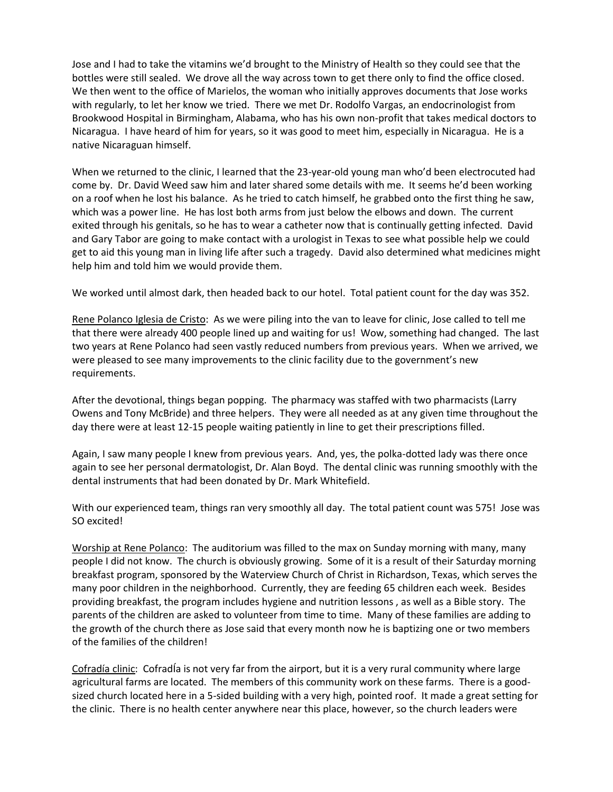Jose and I had to take the vitamins we'd brought to the Ministry of Health so they could see that the bottles were still sealed. We drove all the way across town to get there only to find the office closed. We then went to the office of Marielos, the woman who initially approves documents that Jose works with regularly, to let her know we tried. There we met Dr. Rodolfo Vargas, an endocrinologist from Brookwood Hospital in Birmingham, Alabama, who has his own non-profit that takes medical doctors to Nicaragua. I have heard of him for years, so it was good to meet him, especially in Nicaragua. He is a native Nicaraguan himself.

When we returned to the clinic, I learned that the 23-year-old young man who'd been electrocuted had come by. Dr. David Weed saw him and later shared some details with me. It seems he'd been working on a roof when he lost his balance. As he tried to catch himself, he grabbed onto the first thing he saw, which was a power line. He has lost both arms from just below the elbows and down. The current exited through his genitals, so he has to wear a catheter now that is continually getting infected. David and Gary Tabor are going to make contact with a urologist in Texas to see what possible help we could get to aid this young man in living life after such a tragedy. David also determined what medicines might help him and told him we would provide them.

We worked until almost dark, then headed back to our hotel. Total patient count for the day was 352.

Rene Polanco Iglesia de Cristo: As we were piling into the van to leave for clinic, Jose called to tell me that there were already 400 people lined up and waiting for us! Wow, something had changed. The last two years at Rene Polanco had seen vastly reduced numbers from previous years. When we arrived, we were pleased to see many improvements to the clinic facility due to the government's new requirements.

After the devotional, things began popping. The pharmacy was staffed with two pharmacists (Larry Owens and Tony McBride) and three helpers. They were all needed as at any given time throughout the day there were at least 12-15 people waiting patiently in line to get their prescriptions filled.

Again, I saw many people I knew from previous years. And, yes, the polka-dotted lady was there once again to see her personal dermatologist, Dr. Alan Boyd. The dental clinic was running smoothly with the dental instruments that had been donated by Dr. Mark Whitefield.

With our experienced team, things ran very smoothly all day. The total patient count was 575! Jose was SO excited!

Worship at Rene Polanco: The auditorium was filled to the max on Sunday morning with many, many people I did not know. The church is obviously growing. Some of it is a result of their Saturday morning breakfast program, sponsored by the Waterview Church of Christ in Richardson, Texas, which serves the many poor children in the neighborhood. Currently, they are feeding 65 children each week. Besides providing breakfast, the program includes hygiene and nutrition lessons , as well as a Bible story. The parents of the children are asked to volunteer from time to time. Many of these families are adding to the growth of the church there as Jose said that every month now he is baptizing one or two members of the families of the children!

Cofradía clinic: CofradÍa is not very far from the airport, but it is a very rural community where large agricultural farms are located. The members of this community work on these farms. There is a goodsized church located here in a 5-sided building with a very high, pointed roof. It made a great setting for the clinic. There is no health center anywhere near this place, however, so the church leaders were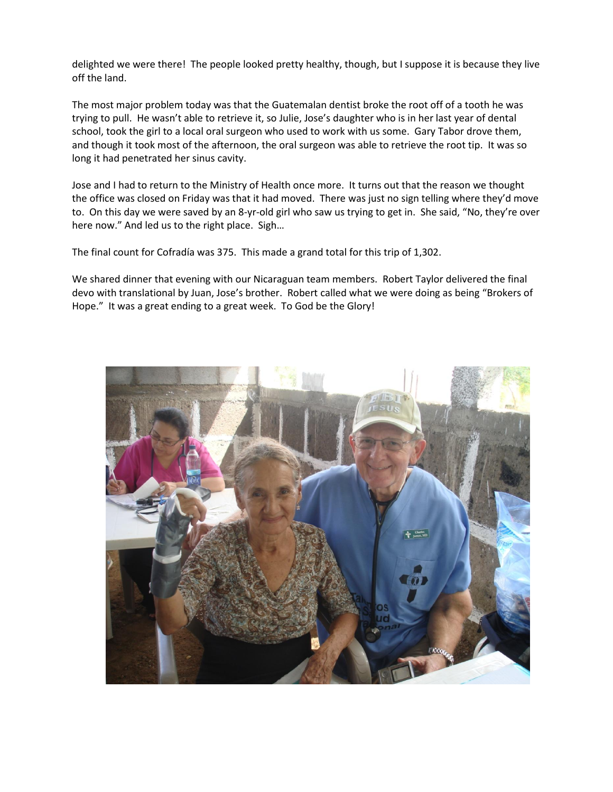delighted we were there! The people looked pretty healthy, though, but I suppose it is because they live off the land.

The most major problem today was that the Guatemalan dentist broke the root off of a tooth he was trying to pull. He wasn't able to retrieve it, so Julie, Jose's daughter who is in her last year of dental school, took the girl to a local oral surgeon who used to work with us some. Gary Tabor drove them, and though it took most of the afternoon, the oral surgeon was able to retrieve the root tip. It was so long it had penetrated her sinus cavity.

Jose and I had to return to the Ministry of Health once more. It turns out that the reason we thought the office was closed on Friday was that it had moved. There was just no sign telling where they'd move to. On this day we were saved by an 8-yr-old girl who saw us trying to get in. She said, "No, they're over here now." And led us to the right place. Sigh…

The final count for Cofradía was 375. This made a grand total for this trip of 1,302.

We shared dinner that evening with our Nicaraguan team members. Robert Taylor delivered the final devo with translational by Juan, Jose's brother. Robert called what we were doing as being "Brokers of Hope." It was a great ending to a great week. To God be the Glory!

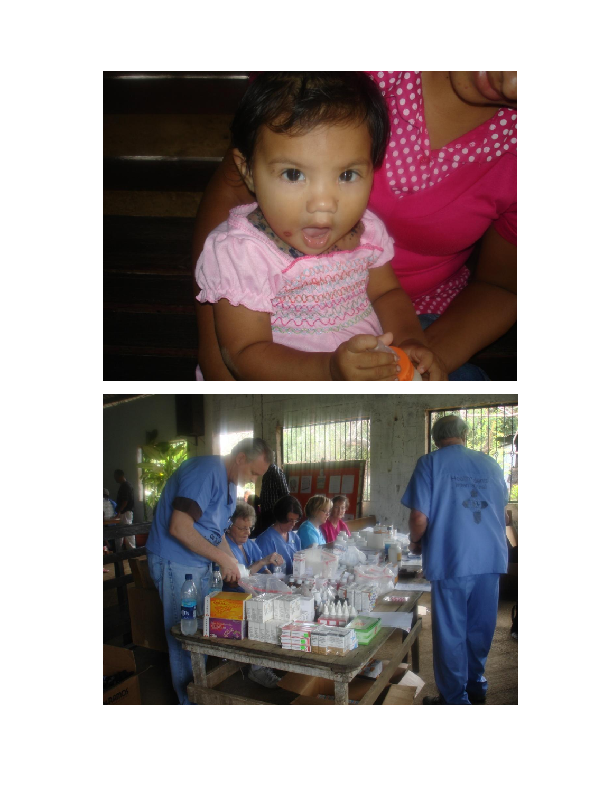